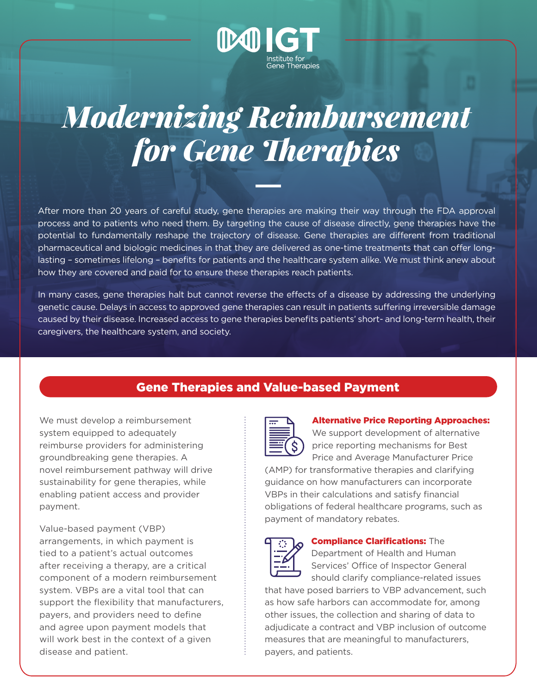

## *Modernizing Reimbursement for Gene Therapies*

After more than 20 years of careful study, gene therapies are making their way through the FDA approval process and to patients who need them. By targeting the cause of disease directly, gene therapies have the potential to fundamentally reshape the trajectory of disease. Gene therapies are different from traditional pharmaceutical and biologic medicines in that they are delivered as one-time treatments that can offer longlasting – sometimes lifelong – benefits for patients and the healthcare system alike. We must think anew about how they are covered and paid for to ensure these therapies reach patients.

In many cases, gene therapies halt but cannot reverse the effects of a disease by addressing the underlying genetic cause. Delays in access to approved gene therapies can result in patients suffering irreversible damage caused by their disease. Increased access to gene therapies benefits patients' short- and long-term health, their caregivers, the healthcare system, and society.

## Gene Therapies and Value-based Payment

We must develop a reimbursement system equipped to adequately reimburse providers for administering groundbreaking gene therapies. A novel reimbursement pathway will drive sustainability for gene therapies, while enabling patient access and provider payment.

Value-based payment (VBP) arrangements, in which payment is tied to a patient's actual outcomes after receiving a therapy, are a critical component of a modern reimbursement system. VBPs are a vital tool that can support the flexibility that manufacturers, payers, and providers need to define and agree upon payment models that will work best in the context of a given disease and patient.



## Alternative Price Reporting Approaches:

We support development of alternative price reporting mechanisms for Best Price and Average Manufacturer Price

(AMP) for transformative therapies and clarifying guidance on how manufacturers can incorporate VBPs in their calculations and satisfy financial obligations of federal healthcare programs, such as payment of mandatory rebates.



## Compliance Clarifications: The

Department of Health and Human Services' Office of Inspector General should clarify compliance-related issues

that have posed barriers to VBP advancement, such as how safe harbors can accommodate for, among other issues, the collection and sharing of data to adjudicate a contract and VBP inclusion of outcome measures that are meaningful to manufacturers, payers, and patients.